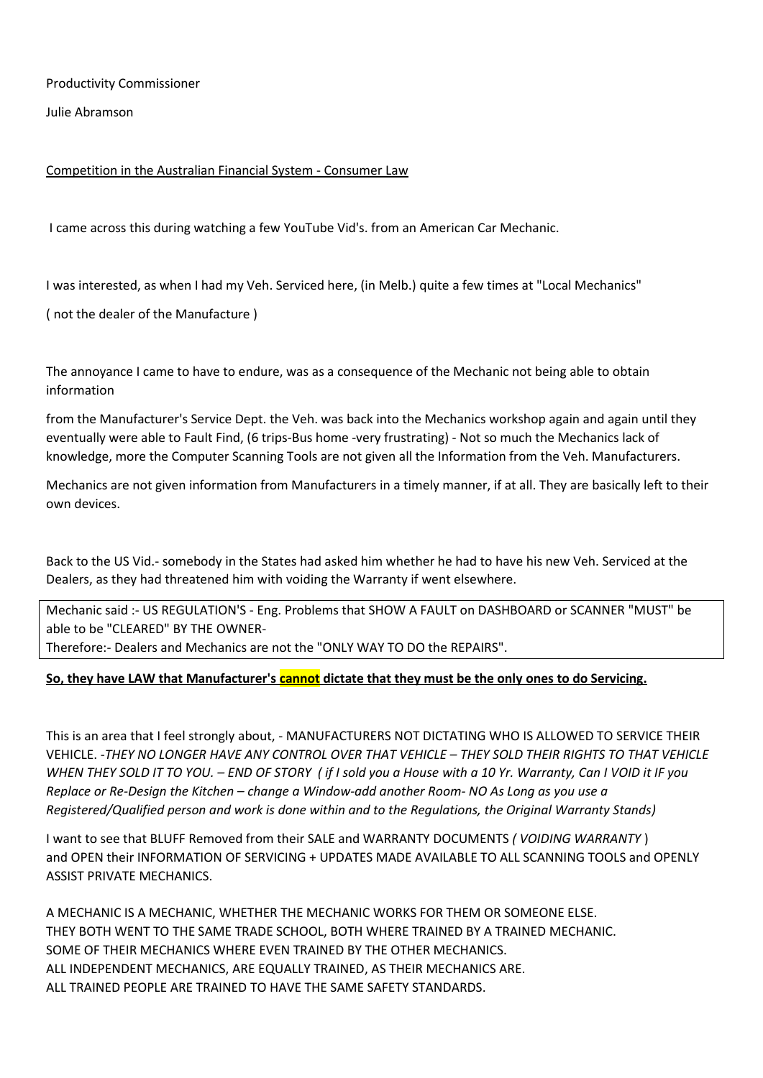Productivity Commissioner

Julie Abramson

## Competition in the Australian Financial System - Consumer Law

I came across this during watching a few YouTube Vid's. from an American Car Mechanic.

I was interested, as when I had my Veh. Serviced here, (in Melb.) quite a few times at "Local Mechanics"

( not the dealer of the Manufacture )

The annoyance I came to have to endure, was as a consequence of the Mechanic not being able to obtain information

from the Manufacturer's Service Dept. the Veh. was back into the Mechanics workshop again and again until they eventually were able to Fault Find, (6 trips-Bus home -very frustrating) - Not so much the Mechanics lack of knowledge, more the Computer Scanning Tools are not given all the Information from the Veh. Manufacturers.

Mechanics are not given information from Manufacturers in a timely manner, if at all. They are basically left to their own devices.

Back to the US Vid.- somebody in the States had asked him whether he had to have his new Veh. Serviced at the Dealers, as they had threatened him with voiding the Warranty if went elsewhere.

Mechanic said :- US REGULATION'S - Eng. Problems that SHOW A FAULT on DASHBOARD or SCANNER "MUST" be able to be "CLEARED" BY THE OWNER-Therefore:- Dealers and Mechanics are not the "ONLY WAY TO DO the REPAIRS".

## **So, they have LAW that Manufacturer's cannot dictate that they must be the only ones to do Servicing.**

This is an area that I feel strongly about, - MANUFACTURERS NOT DICTATING WHO IS ALLOWED TO SERVICE THEIR VEHICLE. -*THEY NO LONGER HAVE ANY CONTROL OVER THAT VEHICLE – THEY SOLD THEIR RIGHTS TO THAT VEHICLE WHEN THEY SOLD IT TO YOU. – END OF STORY ( if I sold you a House with a 10 Yr. Warranty, Can I VOID it IF you Replace or Re-Design the Kitchen – change a Window-add another Room- NO As Long as you use a Registered/Qualified person and work is done within and to the Regulations, the Original Warranty Stands)*

I want to see that BLUFF Removed from their SALE and WARRANTY DOCUMENTS *( VOIDING WARRANTY* ) and OPEN their INFORMATION OF SERVICING + UPDATES MADE AVAILABLE TO ALL SCANNING TOOLS and OPENLY ASSIST PRIVATE MECHANICS.

A MECHANIC IS A MECHANIC, WHETHER THE MECHANIC WORKS FOR THEM OR SOMEONE ELSE. THEY BOTH WENT TO THE SAME TRADE SCHOOL, BOTH WHERE TRAINED BY A TRAINED MECHANIC. SOME OF THEIR MECHANICS WHERE EVEN TRAINED BY THE OTHER MECHANICS. ALL INDEPENDENT MECHANICS, ARE EQUALLY TRAINED, AS THEIR MECHANICS ARE. ALL TRAINED PEOPLE ARE TRAINED TO HAVE THE SAME SAFETY STANDARDS.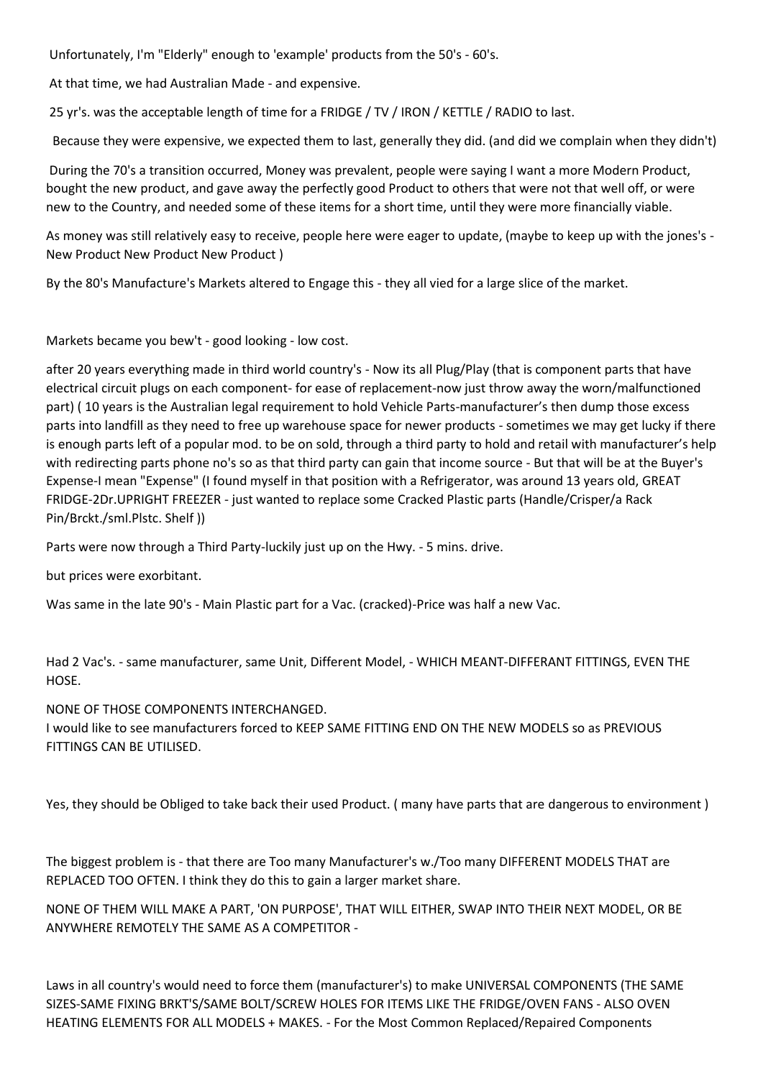Unfortunately, I'm "Elderly" enough to 'example' products from the 50's - 60's.

At that time, we had Australian Made - and expensive.

25 yr's. was the acceptable length of time for a FRIDGE / TV / IRON / KETTLE / RADIO to last.

Because they were expensive, we expected them to last, generally they did. (and did we complain when they didn't)

During the 70's a transition occurred, Money was prevalent, people were saying I want a more Modern Product, bought the new product, and gave away the perfectly good Product to others that were not that well off, or were new to the Country, and needed some of these items for a short time, until they were more financially viable.

As money was still relatively easy to receive, people here were eager to update, (maybe to keep up with the jones's - New Product New Product New Product )

By the 80's Manufacture's Markets altered to Engage this - they all vied for a large slice of the market.

Markets became you bew't - good looking - low cost.

after 20 years everything made in third world country's - Now its all Plug/Play (that is component parts that have electrical circuit plugs on each component- for ease of replacement-now just throw away the worn/malfunctioned part) ( 10 years is the Australian legal requirement to hold Vehicle Parts-manufacturer's then dump those excess parts into landfill as they need to free up warehouse space for newer products - sometimes we may get lucky if there is enough parts left of a popular mod. to be on sold, through a third party to hold and retail with manufacturer's help with redirecting parts phone no's so as that third party can gain that income source - But that will be at the Buyer's Expense-I mean "Expense" (I found myself in that position with a Refrigerator, was around 13 years old, GREAT FRIDGE-2Dr.UPRIGHT FREEZER - just wanted to replace some Cracked Plastic parts (Handle/Crisper/a Rack Pin/Brckt./sml.Plstc. Shelf ))

Parts were now through a Third Party-luckily just up on the Hwy. - 5 mins. drive.

but prices were exorbitant.

Was same in the late 90's - Main Plastic part for a Vac. (cracked)-Price was half a new Vac.

Had 2 Vac's. - same manufacturer, same Unit, Different Model, - WHICH MEANT-DIFFERANT FITTINGS, EVEN THE HOSE.

NONE OF THOSE COMPONENTS INTERCHANGED.

I would like to see manufacturers forced to KEEP SAME FITTING END ON THE NEW MODELS so as PREVIOUS FITTINGS CAN BE UTILISED.

Yes, they should be Obliged to take back their used Product. ( many have parts that are dangerous to environment )

The biggest problem is - that there are Too many Manufacturer's w./Too many DIFFERENT MODELS THAT are REPLACED TOO OFTEN. I think they do this to gain a larger market share.

NONE OF THEM WILL MAKE A PART, 'ON PURPOSE', THAT WILL EITHER, SWAP INTO THEIR NEXT MODEL, OR BE ANYWHERE REMOTELY THE SAME AS A COMPETITOR -

Laws in all country's would need to force them (manufacturer's) to make UNIVERSAL COMPONENTS (THE SAME SIZES-SAME FIXING BRKT'S/SAME BOLT/SCREW HOLES FOR ITEMS LIKE THE FRIDGE/OVEN FANS - ALSO OVEN HEATING ELEMENTS FOR ALL MODELS + MAKES. - For the Most Common Replaced/Repaired Components